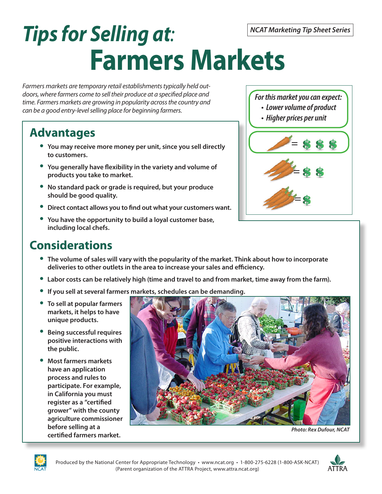# *Tips for Selling at:*  **Farmers Markets**

*Farmers markets are temporary retail establishments typically held outdoors, where farmers come to sell their produce at a specified place and time. Farmers markets are growing in popularity across the country and can be a good entry-level selling place for beginning farmers.*

## **Advantages**

- **You may receive more money per unit, since you sell directly to customers.**
- **You generally have flexibility in the variety and volume of products you take to market.**
- **No standard pack or grade is required, but your produce should be good quality.**
- **Direct contact allows you to find out what your customers want.**
- **You have the opportunity to build a loyal customer base, including local chefs.**

## **Considerations**

- **The volume of sales will vary with the popularity of the market. Think about how to incorporate**
- **deliveries to other outlets in the area to increase your sales and efficiency. Labor costs can be relatively high (time and travel to and from market, time away from the farm).**
- **If you sell at several farmers markets, schedules can be demanding.**
- **To sell at popular farmers markets, it helps to have unique products.**
- **Being successful requires positive interactions with the public.**
- **Most farmers markets have an application process and rules to participate. For example, in California you must register as a "certified grower" with the county agriculture commissioner before selling at a certified farmers market.**